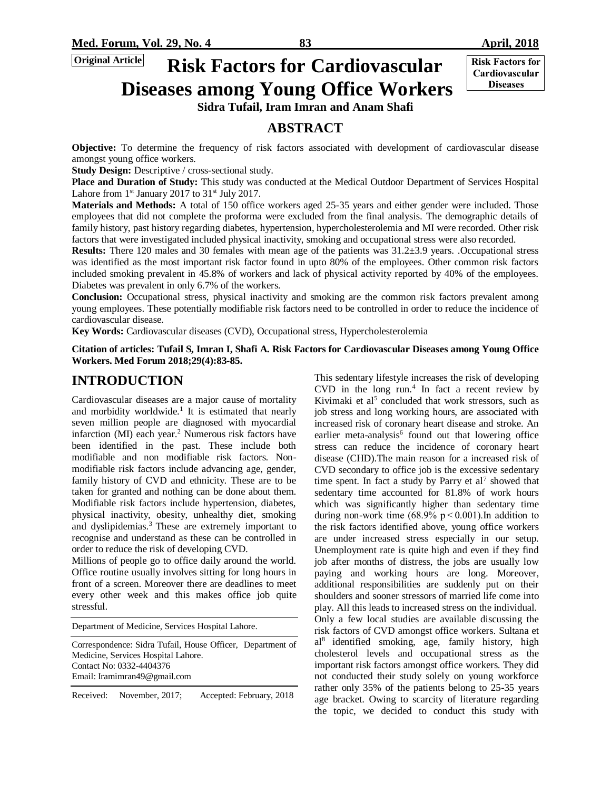**Cardiovascular Diseases**

# **<u>Criginal Article</u> Risk Factors for Cardiovascular Exist Factors for Diseases among Young Office Workers**

**Sidra Tufail, Iram Imran and Anam Shafi**

# **ABSTRACT**

**Objective:** To determine the frequency of risk factors associated with development of cardiovascular disease amongst young office workers.

**Study Design:** Descriptive / cross-sectional study.

**Place and Duration of Study:** This study was conducted at the Medical Outdoor Department of Services Hospital Lahore from  $1<sup>st</sup>$  January 2017 to 31 $<sup>st</sup>$  July 2017.</sup>

**Materials and Methods:** A total of 150 office workers aged 25-35 years and either gender were included. Those employees that did not complete the proforma were excluded from the final analysis. The demographic details of family history, past history regarding diabetes, hypertension, hypercholesterolemia and MI were recorded. Other risk factors that were investigated included physical inactivity, smoking and occupational stress were also recorded.

**Results:** There 120 males and 30 females with mean age of the patients was 31.2±3.9 years. .Occupational stress was identified as the most important risk factor found in upto 80% of the employees. Other common risk factors included smoking prevalent in 45.8% of workers and lack of physical activity reported by 40% of the employees. Diabetes was prevalent in only 6.7% of the workers.

**Conclusion:** Occupational stress, physical inactivity and smoking are the common risk factors prevalent among young employees. These potentially modifiable risk factors need to be controlled in order to reduce the incidence of cardiovascular disease.

**Key Words:** Cardiovascular diseases (CVD), Occupational stress, Hypercholesterolemia

**Citation of articles: Tufail S, Imran I, Shafi A. Risk Factors for Cardiovascular Diseases among Young Office Workers. Med Forum 2018;29(4):83-85.**

## **INTRODUCTION**

Cardiovascular diseases are a major cause of mortality and morbidity worldwide.<sup>1</sup> It is estimated that nearly seven million people are diagnosed with myocardial infarction (MI) each year.<sup>2</sup> Numerous risk factors have been identified in the past. These include both modifiable and non modifiable risk factors. Nonmodifiable risk factors include advancing age, gender, family history of CVD and ethnicity. These are to be taken for granted and nothing can be done about them. Modifiable risk factors include hypertension, diabetes, physical inactivity, obesity, unhealthy diet, smoking and dyslipidemias.<sup>3</sup> These are extremely important to recognise and understand as these can be controlled in order to reduce the risk of developing CVD.

Millions of people go to office daily around the world. Office routine usually involves sitting for long hours in front of a screen. Moreover there are deadlines to meet every other week and this makes office job quite stressful.

Department of Medicine, Services Hospital Lahore.

Correspondence: Sidra Tufail, House Officer, Department of Medicine, Services Hospital Lahore. Contact No: 0332-4404376 Email[: Iramimran49@gmail.com](mailto:Iramimran49@gmail.com)

Received: November, 2017; Accepted: February, 2018

This sedentary lifestyle increases the risk of developing CVD in the long run.<sup>4</sup> In fact a recent review by Kivimaki et  $al<sup>5</sup>$  concluded that work stressors, such as job stress and long working hours, are associated with increased risk of coronary heart disease and stroke. An earlier meta-analysis<sup>6</sup> found out that lowering office stress can reduce the incidence of coronary heart disease (CHD).The main reason for a increased risk of CVD secondary to office job is the excessive sedentary time spent. In fact a study by Parry et  $al<sup>7</sup>$  showed that sedentary time accounted for 81.8% of work hours which was significantly higher than sedentary time during non-work time (68.9%  $p < 0.001$ ). In addition to the risk factors identified above, young office workers are under increased stress especially in our setup. Unemployment rate is quite high and even if they find job after months of distress, the jobs are usually low paying and working hours are long. Moreover, additional responsibilities are suddenly put on their shoulders and sooner stressors of married life come into play. All this leads to increased stress on the individual. Only a few local studies are available discussing the risk factors of CVD amongst office workers. Sultana et al<sup>8</sup> identified smoking, age, family history, high cholesterol levels and occupational stress as the important risk factors amongst office workers. They did not conducted their study solely on young workforce rather only 35% of the patients belong to 25-35 years age bracket. Owing to scarcity of literature regarding the topic, we decided to conduct this study with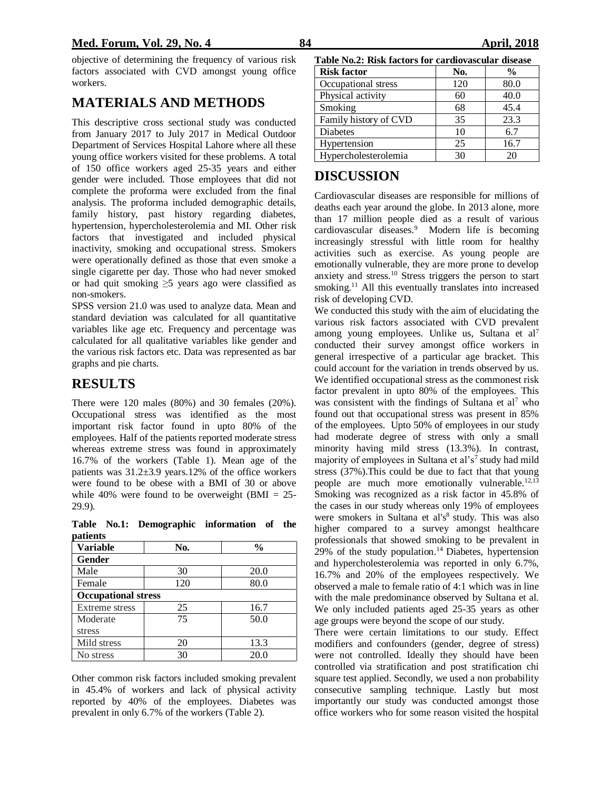#### **Med. Forum, Vol. 29, No. 4 84 April, 2018**

objective of determining the frequency of various risk factors associated with CVD amongst young office workers.

### **MATERIALS AND METHODS**

This descriptive cross sectional study was conducted from January 2017 to July 2017 in Medical Outdoor Department of Services Hospital Lahore where all these young office workers visited for these problems. A total of 150 office workers aged 25-35 years and either gender were included. Those employees that did not complete the proforma were excluded from the final analysis. The proforma included demographic details, family history, past history regarding diabetes, hypertension, hypercholesterolemia and MI. Other risk factors that investigated and included physical inactivity, smoking and occupational stress. Smokers were operationally defined as those that even smoke a single cigarette per day. Those who had never smoked or had quit smoking ≥5 years ago were classified as non-smokers.

SPSS version 21.0 was used to analyze data. Mean and standard deviation was calculated for all quantitative variables like age etc. Frequency and percentage was calculated for all qualitative variables like gender and the various risk factors etc. Data was represented as bar graphs and pie charts.

## **RESULTS**

There were 120 males (80%) and 30 females (20%). Occupational stress was identified as the most important risk factor found in upto 80% of the employees. Half of the patients reported moderate stress whereas extreme stress was found in approximately 16.7% of the workers (Table 1). Mean age of the patients was  $31.2\pm3.9$  years.12% of the office workers were found to be obese with a BMI of 30 or above while 40% were found to be overweight (BMI =  $25$ -29.9).

**Table No.1: Demographic information of the patients**

| <b>Variable</b>            | No. | $\frac{0}{0}$ |  |  |
|----------------------------|-----|---------------|--|--|
| Gender                     |     |               |  |  |
| Male                       | 30  | 20.0          |  |  |
| Female                     | 120 | 80.0          |  |  |
| <b>Occupational stress</b> |     |               |  |  |
| Extreme stress             | 25  | 16.7          |  |  |
| Moderate                   | 75  | 50.0          |  |  |
| stress                     |     |               |  |  |
| Mild stress                | 20  | 13.3          |  |  |
| No stress                  | 30  | 20.0          |  |  |

Other common risk factors included smoking prevalent in 45.4% of workers and lack of physical activity reported by 40% of the employees. Diabetes was prevalent in only 6.7% of the workers (Table 2).

| radio russi rush factors for carufovascular ulstast |     |               |  |
|-----------------------------------------------------|-----|---------------|--|
| <b>Risk factor</b>                                  | No. | $\frac{6}{9}$ |  |
| Occupational stress                                 | 120 | 80.0          |  |
| Physical activity                                   | 60  | 40.0          |  |
| Smoking                                             | 68  | 45.4          |  |
| Family history of CVD                               | 35  | 23.3          |  |
| Diabetes                                            | 10  | 6.7           |  |
| Hypertension                                        | 25  | 16.7          |  |
| Hypercholesterolemia                                | 30  | 20            |  |

## **DISCUSSION**

Cardiovascular diseases are responsible for millions of deaths each year around the globe. In 2013 alone, more than 17 million people died as a result of various cardiovascular diseases.<sup>9</sup> Modern life is becoming increasingly stressful with little room for healthy activities such as exercise. As young people are emotionally vulnerable, they are more prone to develop anxiety and stress.<sup>10</sup> Stress triggers the person to start smoking.<sup>11</sup> All this eventually translates into increased risk of developing CVD.

We conducted this study with the aim of elucidating the various risk factors associated with CVD prevalent among young employees. Unlike us, Sultana et al<sup>7</sup> conducted their survey amongst office workers in general irrespective of a particular age bracket. This could account for the variation in trends observed by us. We identified occupational stress as the commonest risk factor prevalent in upto 80% of the employees. This was consistent with the findings of Sultana et al<sup>7</sup> who found out that occupational stress was present in 85% of the employees. Upto 50% of employees in our study had moderate degree of stress with only a small minority having mild stress (13.3%). In contrast, majority of employees in Sultana et al's<sup>7</sup> study had mild stress (37%).This could be due to fact that that young people are much more emotionally vulnerable.<sup>12,13</sup> Smoking was recognized as a risk factor in 45.8% of the cases in our study whereas only 19% of employees were smokers in Sultana et al's<sup>8</sup> study. This was also higher compared to a survey amongst healthcare professionals that showed smoking to be prevalent in 29% of the study population.<sup>14</sup> Diabetes, hypertension and hypercholesterolemia was reported in only 6.7%, 16.7% and 20% of the employees respectively. We observed a male to female ratio of 4:1 which was in line with the male predominance observed by Sultana et al. We only included patients aged 25-35 years as other age groups were beyond the scope of our study.

There were certain limitations to our study. Effect modifiers and confounders (gender, degree of stress) were not controlled. Ideally they should have been controlled via stratification and post stratification chi square test applied. Secondly, we used a non probability consecutive sampling technique. Lastly but most importantly our study was conducted amongst those office workers who for some reason visited the hospital